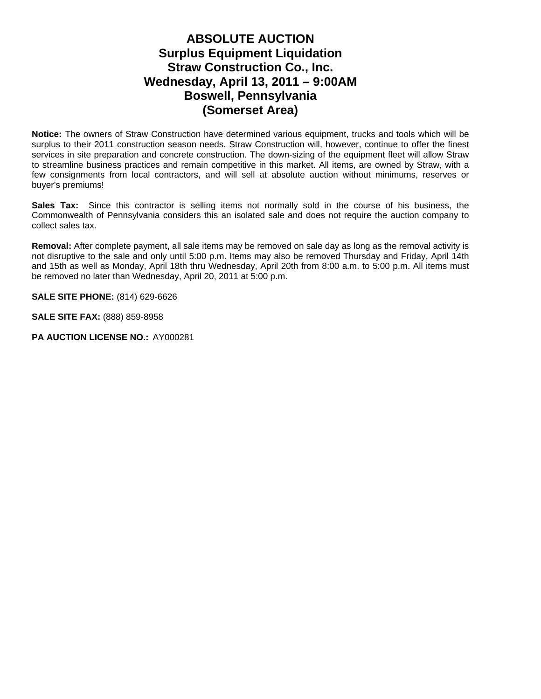## **ABSOLUTE AUCTION Surplus Equipment Liquidation Straw Construction Co., Inc. Wednesday, April 13, 2011 – 9:00AM Boswell, Pennsylvania (Somerset Area)**

**Notice:** The owners of Straw Construction have determined various equipment, trucks and tools which will be surplus to their 2011 construction season needs. Straw Construction will, however, continue to offer the finest services in site preparation and concrete construction. The down-sizing of the equipment fleet will allow Straw to streamline business practices and remain competitive in this market. All items, are owned by Straw, with a few consignments from local contractors, and will sell at absolute auction without minimums, reserves or buyer's premiums!

**Sales Tax:** Since this contractor is selling items not normally sold in the course of his business, the Commonwealth of Pennsylvania considers this an isolated sale and does not require the auction company to collect sales tax.

**Removal:** After complete payment, all sale items may be removed on sale day as long as the removal activity is not disruptive to the sale and only until 5:00 p.m. Items may also be removed Thursday and Friday, April 14th and 15th as well as Monday, April 18th thru Wednesday, April 20th from 8:00 a.m. to 5:00 p.m. All items must be removed no later than Wednesday, April 20, 2011 at 5:00 p.m.

**SALE SITE PHONE:** (814) 629-6626

**SALE SITE FAX:** (888) 859-8958

PA AUCTION LICENSE NO.: AY000281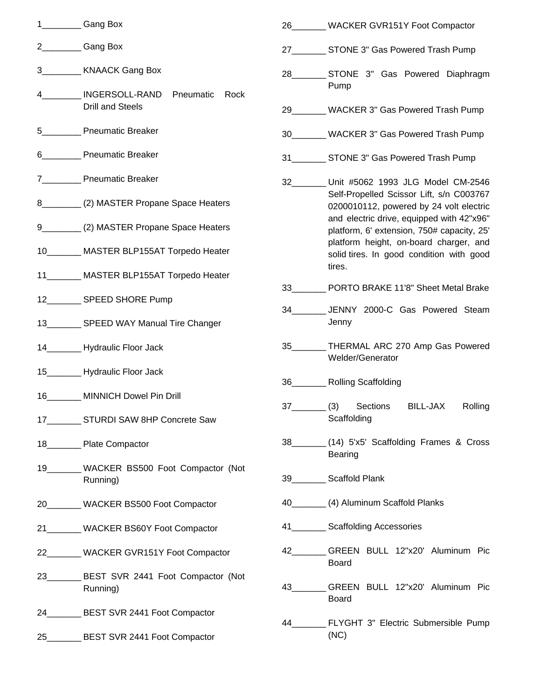|    | Gang Box                                                    |          | 26________ WACKER GVR151Y Foot Compactor                                                |
|----|-------------------------------------------------------------|----------|-----------------------------------------------------------------------------------------|
| 2  | Gang Box                                                    |          | 27___________ STONE 3" Gas Powered Trash Pump                                           |
| 3  | <b>KNAACK Gang Box</b>                                      |          | 28__________ STONE 3" Gas Powered Diaphragm                                             |
|    | INGERSOLL-RAND Pneumatic<br>Rock<br><b>Drill and Steels</b> |          | Pump<br>29 WACKER 3" Gas Powered Trash Pump                                             |
| 5  | <b>Pneumatic Breaker</b>                                    |          | 30________ WACKER 3" Gas Powered Trash Pump                                             |
|    | 6 Pneumatic Breaker                                         |          | 31___________ STONE 3" Gas Powered Trash Pump                                           |
|    | 7___________ Pneumatic Breaker                              | $32 - 1$ | Unit #5062 1993 JLG Model CM-2546                                                       |
|    | 8___________(2) MASTER Propane Space Heaters                |          | Self-Propelled Scissor Lift, s/n C003767<br>0200010112, powered by 24 volt electric     |
|    | 9 (2) MASTER Propane Space Heaters                          |          | and electric drive, equipped with 42"x96"<br>platform, 6' extension, 750# capacity, 25' |
|    | 10________ MASTER BLP155AT Torpedo Heater                   |          | platform height, on-board charger, and<br>solid tires. In good condition with good      |
|    | 11________ MASTER BLP155AT Torpedo Heater                   |          | tires.                                                                                  |
|    | 12__________ SPEED SHORE Pump                               |          | 33 PORTO BRAKE 11'8" Sheet Metal Brake                                                  |
|    | 13__________ SPEED WAY Manual Tire Changer                  |          | 34 JENNY 2000-C Gas Powered Steam<br>Jenny                                              |
|    | 14__________ Hydraulic Floor Jack                           |          | 35________ THERMAL ARC 270 Amp Gas Powered<br>Welder/Generator                          |
|    | 15__________ Hydraulic Floor Jack                           | 36       |                                                                                         |
| 16 | MINNICH Dowel Pin Drill                                     |          | Rolling Scaffolding                                                                     |
|    | 17 _______ STURDI SAW 8HP Concrete Saw                      | 37       | (3)<br>Sections<br>Rolling<br>BILL-JAX<br>Scaffolding                                   |
|    | 18___________ Plate Compactor                               |          | 38 (14) 5'x5' Scaffolding Frames & Cross<br>Bearing                                     |
|    | 19________ WACKER BS500 Foot Compactor (Not<br>Running)     |          | 39 Scaffold Plank                                                                       |
|    | 20________ WACKER BS500 Foot Compactor                      |          | 40___________(4) Aluminum Scaffold Planks                                               |
|    | 21________ WACKER BS60Y Foot Compactor                      |          | 41___________ Scaffolding Accessories                                                   |
|    | 22________ WACKER GVR151Y Foot Compactor                    |          | 42________GREEN_BULL_12"x20' Aluminum_Pic<br>Board                                      |
|    | 23________ BEST SVR 2441 Foot Compactor (Not<br>Running)    |          | GREEN BULL 12"x20' Aluminum Pic<br><b>Board</b>                                         |
|    | 24_________ BEST SVR 2441 Foot Compactor                    | 44 — 1   | FLYGHT 3" Electric Submersible Pump                                                     |
|    | 25_________ BEST SVR 2441 Foot Compactor                    |          | (NC)                                                                                    |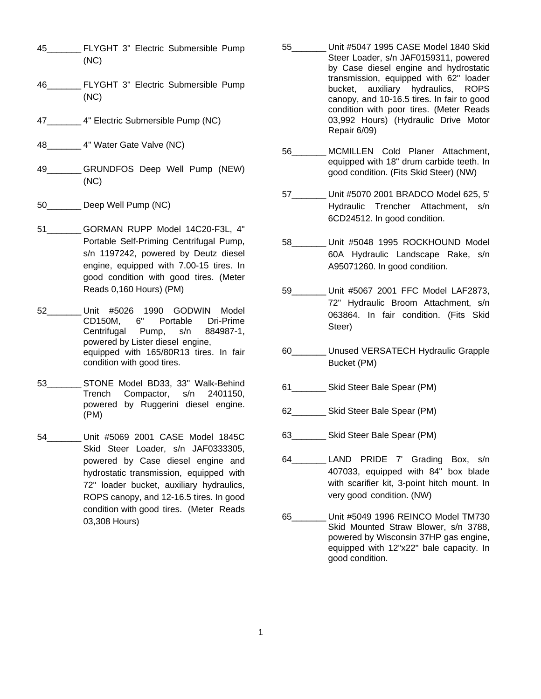- 45\_\_\_\_\_\_\_ FLYGHT 3" Electric Submersible Pump (NC)
- 46\_\_\_\_\_\_\_ FLYGHT 3" Electric Submersible Pump (NC)
- 47 4" Electric Submersible Pump (NC)
- 48\_\_\_\_\_\_\_ 4" Water Gate Valve (NC)
- 49 GRUNDFOS Deep Well Pump (NEW) (NC)
- 50 Deep Well Pump (NC)
- 51 GORMAN RUPP Model 14C20-F3L, 4" Portable Self-Priming Centrifugal Pump, s/n 1197242, powered by Deutz diesel engine, equipped with 7.00-15 tires. In good condition with good tires. (Meter Reads 0,160 Hours) (PM)
- 52\_\_\_\_\_\_\_ Unit #5026 1990 GODWIN Model CD150M, 6" Portable Dri-Prime Centrifugal Pump, s/n 884987-1, powered by Lister diesel engine, equipped with 165/80R13 tires. In fair condition with good tires.
- 53\_\_\_\_\_\_\_ STONE Model BD33, 33" Walk-Behind Trench Compactor, s/n 2401150, powered by Ruggerini diesel engine. (PM)
- 54\_\_\_\_\_\_\_ Unit #5069 2001 CASE Model 1845C Skid Steer Loader, s/n JAF0333305, powered by Case diesel engine and hydrostatic transmission, equipped with 72" loader bucket, auxiliary hydraulics, ROPS canopy, and 12-16.5 tires. In good condition with good tires. (Meter Reads 03,308 Hours)
- 55\_\_\_\_\_\_\_ Unit #5047 1995 CASE Model 1840 Skid Steer Loader, s/n JAF0159311, powered by Case diesel engine and hydrostatic transmission, equipped with 62" loader bucket, auxiliary hydraulics, ROPS canopy, and 10-16.5 tires. In fair to good condition with poor tires. (Meter Reads 03,992 Hours) (Hydraulic Drive Motor Repair 6/09)
- 56\_\_\_\_\_\_\_ MCMILLEN Cold Planer Attachment, equipped with 18" drum carbide teeth. In good condition. (Fits Skid Steer) (NW)
- 57\_\_\_\_\_\_\_ Unit #5070 2001 BRADCO Model 625, 5' Hydraulic Trencher Attachment, s/n 6CD24512. In good condition.
- 58\_\_\_\_\_\_\_ Unit #5048 1995 ROCKHOUND Model 60A Hydraulic Landscape Rake, s/n A95071260. In good condition.
- 59\_\_\_\_\_\_\_ Unit #5067 2001 FFC Model LAF2873, 72" Hydraulic Broom Attachment, s/n 063864. In fair condition. (Fits Skid Steer)
- 60\_\_\_\_\_\_\_ Unused VERSATECH Hydraulic Grapple Bucket (PM)
- 61\_\_\_\_\_\_\_ Skid Steer Bale Spear (PM)
- 62\_\_\_\_\_\_\_ Skid Steer Bale Spear (PM)
- 63\_\_\_\_\_\_\_ Skid Steer Bale Spear (PM)
- 64\_\_\_\_\_\_\_ LAND PRIDE 7' Grading Box, s/n 407033, equipped with 84" box blade with scarifier kit, 3-point hitch mount. In very good condition. (NW)
- 65\_\_\_\_\_\_\_ Unit #5049 1996 REINCO Model TM730 Skid Mounted Straw Blower, s/n 3788, powered by Wisconsin 37HP gas engine, equipped with 12"x22" bale capacity. In good condition.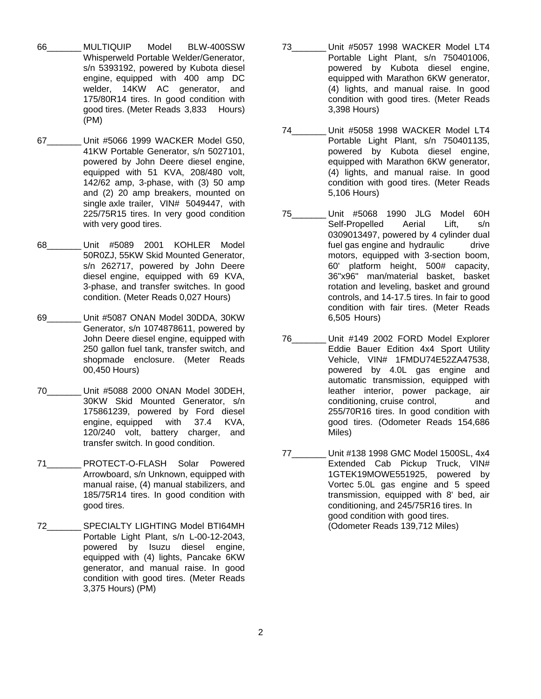- 66\_\_\_\_\_\_\_ MULTIQUIP Model BLW-400SSW Whisperweld Portable Welder/Generator, s/n 5393192, powered by Kubota diesel engine, equipped with 400 amp DC welder, 14KW AC generator, and 175/80R14 tires. In good condition with good tires. (Meter Reads 3,833 Hours) (PM)
- 67\_\_\_\_\_\_\_ Unit #5066 1999 WACKER Model G50, 41KW Portable Generator, s/n 5027101, powered by John Deere diesel engine, equipped with 51 KVA, 208/480 volt, 142/62 amp, 3-phase, with (3) 50 amp and (2) 20 amp breakers, mounted on single axle trailer, VIN# 5049447, with 225/75R15 tires. In very good condition with very good tires.
- 68\_\_\_\_\_\_\_ Unit #5089 2001 KOHLER Model 50R0ZJ, 55KW Skid Mounted Generator, s/n 262717, powered by John Deere diesel engine, equipped with 69 KVA, 3-phase, and transfer switches. In good condition. (Meter Reads 0,027 Hours)
- 69\_\_\_\_\_\_\_ Unit #5087 ONAN Model 30DDA, 30KW Generator, s/n 1074878611, powered by John Deere diesel engine, equipped with 250 gallon fuel tank, transfer switch, and shopmade enclosure. (Meter Reads 00,450 Hours)
- 70\_\_\_\_\_\_\_ Unit #5088 2000 ONAN Model 30DEH, 30KW Skid Mounted Generator, s/n 175861239, powered by Ford diesel engine, equipped with 37.4 KVA, 120/240 volt, battery charger, and transfer switch. In good condition.
- 71\_\_\_\_\_\_\_ PROTECT-O-FLASH Solar Powered Arrowboard, s/n Unknown, equipped with manual raise, (4) manual stabilizers, and 185/75R14 tires. In good condition with good tires.
- 72\_\_\_\_\_\_\_ SPECIALTY LIGHTING Model BTI64MH Portable Light Plant, s/n L-00-12-2043, powered by Isuzu diesel engine, equipped with (4) lights, Pancake 6KW generator, and manual raise. In good condition with good tires. (Meter Reads 3,375 Hours) (PM)
- 73\_\_\_\_\_\_\_ Unit #5057 1998 WACKER Model LT4 Portable Light Plant, s/n 750401006, powered by Kubota diesel engine, equipped with Marathon 6KW generator, (4) lights, and manual raise. In good condition with good tires. (Meter Reads 3,398 Hours)
- 74\_\_\_\_\_\_\_ Unit #5058 1998 WACKER Model LT4 Portable Light Plant, s/n 750401135, powered by Kubota diesel engine, equipped with Marathon 6KW generator, (4) lights, and manual raise. In good condition with good tires. (Meter Reads 5,106 Hours)
- 75\_\_\_\_\_\_\_ Unit #5068 1990 JLG Model 60H Self-Propelled Aerial Lift, s/n 0309013497, powered by 4 cylinder dual fuel gas engine and hydraulic drive motors, equipped with 3-section boom, 60' platform height, 500# capacity, 36"x96" man/material basket, basket rotation and leveling, basket and ground controls, and 14-17.5 tires. In fair to good condition with fair tires. (Meter Reads 6,505 Hours)
- 76\_\_\_\_\_\_\_ Unit #149 2002 FORD Model Explorer Eddie Bauer Edition 4x4 Sport Utility Vehicle, VIN# 1FMDU74E52ZA47538, powered by 4.0L gas engine and automatic transmission, equipped with leather interior, power package, air conditioning, cruise control, and 255/70R16 tires. In good condition with good tires. (Odometer Reads 154,686 Miles)
- 77\_\_\_\_\_\_\_ Unit #138 1998 GMC Model 1500SL, 4x4 Extended Cab Pickup Truck, VIN# 1GTEK19MOWE551925, powered by Vortec 5.0L gas engine and 5 speed transmission, equipped with 8' bed, air conditioning, and 245/75R16 tires. In good condition with good tires. (Odometer Reads 139,712 Miles)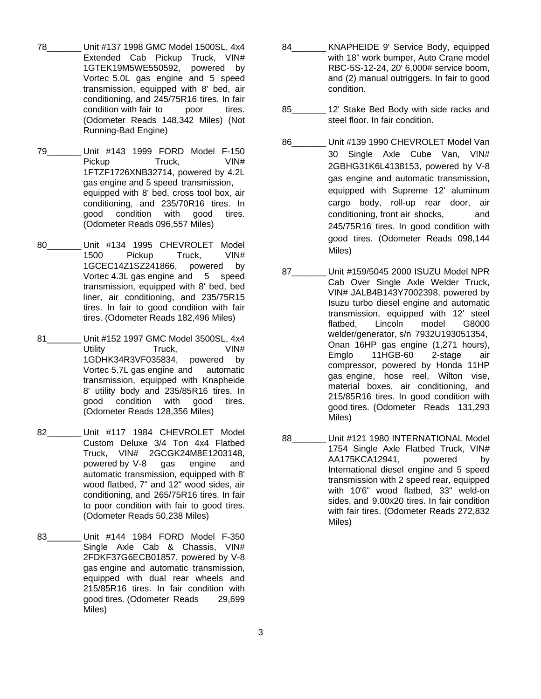- 78\_\_\_\_\_\_\_ Unit #137 1998 GMC Model 1500SL, 4x4 Extended Cab Pickup Truck, VIN# 1GTEK19M5WE550592, powered by Vortec 5.0L gas engine and 5 speed transmission, equipped with 8' bed, air conditioning, and 245/75R16 tires. In fair condition with fair to poor tires. (Odometer Reads 148,342 Miles) (Not Running-Bad Engine)
- 79\_\_\_\_\_\_\_ Unit #143 1999 FORD Model F-150 Pickup Truck, VIN# 1FTZF1726XNB32714, powered by 4.2L gas engine and 5 speed transmission, equipped with 8' bed, cross tool box, air conditioning, and 235/70R16 tires. In good condition with good tires. (Odometer Reads 096,557 Miles)
- 80 Unit #134 1995 CHEVROLET Model 1500 Pickup Truck, VIN# 1GCEC14Z1SZ241866, powered by Vortec 4.3L gas engine and 5 speed transmission, equipped with 8' bed, bed liner, air conditioning, and 235/75R15 tires. In fair to good condition with fair tires. (Odometer Reads 182,496 Miles)
- 81 \_\_\_\_\_\_ Unit #152 1997 GMC Model 3500SL, 4x4 Utility **Truck**, VIN# 1GDHK34R3VF035834, powered by Vortec 5.7L gas engine and automatic transmission, equipped with Knapheide 8' utility body and 235/85R16 tires. In good condition with good tires. (Odometer Reads 128,356 Miles)
- 82 Unit #117 1984 CHEVROLET Model Custom Deluxe 3/4 Ton 4x4 Flatbed Truck, VIN# 2GCGK24M8E1203148, powered by V-8 gas engine and automatic transmission, equipped with 8' wood flatbed, 7" and 12" wood sides, air conditioning, and 265/75R16 tires. In fair to poor condition with fair to good tires. (Odometer Reads 50,238 Miles)
- 83\_\_\_\_\_\_\_ Unit #144 1984 FORD Model F-350 Single Axle Cab & Chassis, VIN# 2FDKF37G6ECB01857, powered by V-8 gas engine and automatic transmission, equipped with dual rear wheels and 215/85R16 tires. In fair condition with good tires. (Odometer Reads 29,699 Miles)
- 84 KNAPHEIDE 9' Service Body, equipped with 18" work bumper, Auto Crane model RBC-5S-12-24, 20' 6,000# service boom, and (2) manual outriggers. In fair to good condition.
- 85 and 12' Stake Bed Body with side racks and steel floor. In fair condition.
- 86 Unit #139 1990 CHEVROLET Model Van 30 Single Axle Cube Van, VIN# 2GBHG31K6L4138153, powered by V-8 gas engine and automatic transmission, equipped with Supreme 12' aluminum cargo body, roll-up rear door, air conditioning, front air shocks, and 245/75R16 tires. In good condition with good tires. (Odometer Reads 098,144 Miles)
- 87 Unit #159/5045 2000 ISUZU Model NPR Cab Over Single Axle Welder Truck, VIN# JALB4B143Y7002398, powered by Isuzu turbo diesel engine and automatic transmission, equipped with 12' steel flatbed, Lincoln model G8000 welder/generator, s/n 7932U193051354, Onan 16HP gas engine (1,271 hours), Emglo 11HGB-60 2-stage air compressor, powered by Honda 11HP gas engine, hose reel, Wilton vise, material boxes, air conditioning, and 215/85R16 tires. In good condition with good tires. (Odometer Reads 131,293 Miles)
- 88 Unit #121 1980 INTERNATIONAL Model 1754 Single Axle Flatbed Truck, VIN# AA175KCA12941, powered by International diesel engine and 5 speed transmission with 2 speed rear, equipped with 10'6" wood flatbed, 33" weld-on sides, and 9.00x20 tires. In fair condition with fair tires. (Odometer Reads 272,832 Miles)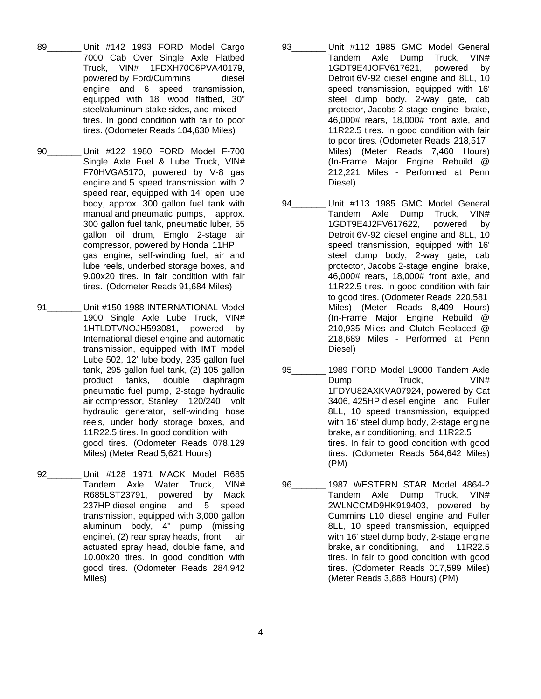- 89\_\_\_\_\_\_\_ Unit #142 1993 FORD Model Cargo 7000 Cab Over Single Axle Flatbed Truck, VIN# 1FDXH70C6PVA40179, powered by Ford/Cummins diesel engine and 6 speed transmission, equipped with 18' wood flatbed, 30" steel/aluminum stake sides, and mixed tires. In good condition with fair to poor tires. (Odometer Reads 104,630 Miles)
- 90\_\_\_\_\_\_\_ Unit #122 1980 FORD Model F-700 Single Axle Fuel & Lube Truck, VIN# F70HVGA5170, powered by V-8 gas engine and 5 speed transmission with 2 speed rear, equipped with 14' open lube body, approx. 300 gallon fuel tank with manual and pneumatic pumps, approx. 300 gallon fuel tank, pneumatic luber, 55 gallon oil drum, Emglo 2-stage air compressor, powered by Honda 11HP gas engine, self-winding fuel, air and lube reels, underbed storage boxes, and 9.00x20 tires. In fair condition with fair tires. (Odometer Reads 91,684 Miles)
- 91 Unit #150 1988 INTERNATIONAL Model 1900 Single Axle Lube Truck, VIN# 1HTLDTVNOJH593081, powered by International diesel engine and automatic transmission, equipped with IMT model Lube 502, 12' lube body, 235 gallon fuel tank, 295 gallon fuel tank, (2) 105 gallon product tanks, double diaphragm pneumatic fuel pump, 2-stage hydraulic air compressor, Stanley 120/240 volt hydraulic generator, self-winding hose reels, under body storage boxes, and 11R22.5 tires. In good condition with good tires. (Odometer Reads 078,129 Miles) (Meter Read 5,621 Hours)
- 92\_\_\_\_\_\_\_ Unit #128 1971 MACK Model R685 Tandem Axle Water Truck, VIN# R685LST23791, powered by Mack 237HP diesel engine and 5 speed transmission, equipped with 3,000 gallon aluminum body, 4" pump (missing engine), (2) rear spray heads, front air actuated spray head, double fame, and 10.00x20 tires. In good condition with good tires. (Odometer Reads 284,942 Miles)
- 93 Unit #112 1985 GMC Model General Tandem Axle Dump Truck, VIN# 1GDT9E4JOFV617621, powered by Detroit 6V-92 diesel engine and 8LL, 10 speed transmission, equipped with 16' steel dump body, 2-way gate, cab protector, Jacobs 2-stage engine brake, 46,000# rears, 18,000# front axle, and 11R22.5 tires. In good condition with fair to poor tires. (Odometer Reads 218,517 Miles) (Meter Reads 7,460 Hours) (In-Frame Major Engine Rebuild @ 212,221 Miles - Performed at Penn Diesel)
- 94\_\_\_\_\_\_\_ Unit #113 1985 GMC Model General Tandem Axle Dump Truck, VIN# 1GDT9E4J2FV617622, powered by Detroit 6V-92 diesel engine and 8LL, 10 speed transmission, equipped with 16' steel dump body, 2-way gate, cab protector, Jacobs 2-stage engine brake, 46,000# rears, 18,000# front axle, and 11R22.5 tires. In good condition with fair to good tires. (Odometer Reads 220,581 Miles) (Meter Reads 8,409 Hours) (In-Frame Major Engine Rebuild @ 210,935 Miles and Clutch Replaced @ 218,689 Miles - Performed at Penn Diesel)
- 95\_\_\_\_\_\_\_ 1989 FORD Model L9000 Tandem Axle Dump Truck,  $VIN#$ 1FDYU82AXKVA07924, powered by Cat 3406, 425HP diesel engine and Fuller 8LL, 10 speed transmission, equipped with 16' steel dump body, 2-stage engine brake, air conditioning, and 11R22.5 tires. In fair to good condition with good tires. (Odometer Reads 564,642 Miles) (PM)
- 96\_\_\_\_\_\_\_ 1987 WESTERN STAR Model 4864-2 Tandem Axle Dump Truck, VIN# 2WLNCCMD9HK919403, powered by Cummins L10 diesel engine and Fuller 8LL, 10 speed transmission, equipped with 16' steel dump body, 2-stage engine brake, air conditioning, and 11R22.5 tires. In fair to good condition with good tires. (Odometer Reads 017,599 Miles) (Meter Reads 3,888 Hours) (PM)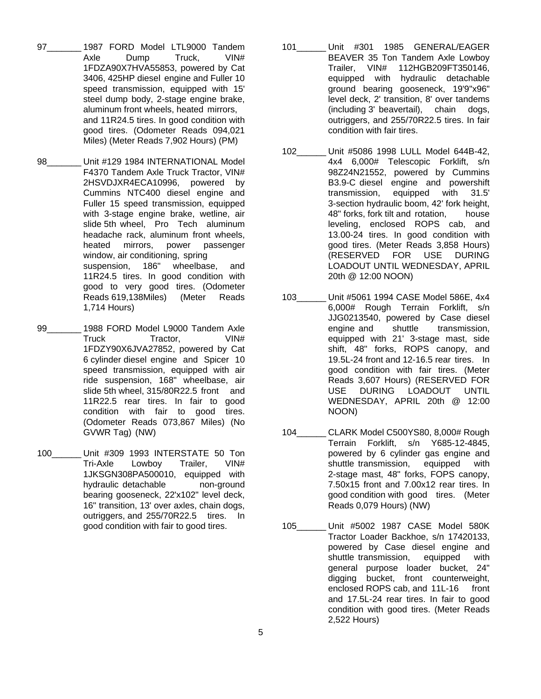- 97 1987 FORD Model LTL9000 Tandem Axle Dump Truck, VIN# 1FDZA90X7HVA55853, powered by Cat 3406, 425HP diesel engine and Fuller 10 speed transmission, equipped with 15' steel dump body, 2-stage engine brake, aluminum front wheels, heated mirrors, and 11R24.5 tires. In good condition with good tires. (Odometer Reads 094,021 Miles) (Meter Reads 7,902 Hours) (PM)
- 98 Unit #129 1984 INTERNATIONAL Model F4370 Tandem Axle Truck Tractor, VIN# 2HSVDJXR4ECA10996, powered by Cummins NTC400 diesel engine and Fuller 15 speed transmission, equipped with 3-stage engine brake, wetline, air slide 5th wheel, Pro Tech aluminum headache rack, aluminum front wheels, heated mirrors, power passenger window, air conditioning, spring suspension, 186" wheelbase, and 11R24.5 tires. In good condition with good to very good tires. (Odometer Reads 619,138Miles) (Meter Reads 1,714 Hours)
- 99\_\_\_\_\_\_\_ 1988 FORD Model L9000 Tandem Axle Truck Tractor, VIN# 1FDZY90X6JVA27852, powered by Cat 6 cylinder diesel engine and Spicer 10 speed transmission, equipped with air ride suspension, 168" wheelbase, air slide 5th wheel, 315/80R22.5 front and 11R22.5 rear tires. In fair to good condition with fair to good tires. (Odometer Reads 073,867 Miles) (No GVWR Tag) (NW)
- 100\_\_\_\_\_\_ Unit #309 1993 INTERSTATE 50 Ton Tri-Axle Lowboy Trailer, VIN# 1JKSGN308PA500010, equipped with hydraulic detachable non-ground bearing gooseneck, 22'x102" level deck, 16" transition, 13' over axles, chain dogs, outriggers, and 255/70R22.5 tires. In good condition with fair to good tires.
- 101\_\_\_\_\_\_ Unit #301 1985 GENERAL/EAGER BEAVER 35 Ton Tandem Axle Lowboy Trailer, VIN# 112HGB209FT350146, equipped with hydraulic detachable ground bearing gooseneck, 19'9"x96" level deck, 2' transition, 8' over tandems (including 3' beavertail), chain dogs, outriggers, and 255/70R22.5 tires. In fair condition with fair tires.
- 102\_\_\_\_\_\_ Unit #5086 1998 LULL Model 644B-42, 4x4 6,000# Telescopic Forklift, s/n 98Z24N21552, powered by Cummins B3.9-C diesel engine and powershift transmission, equipped with 31.5' 3-section hydraulic boom, 42' fork height, 48" forks, fork tilt and rotation, house leveling, enclosed ROPS cab, and 13.00-24 tires. In good condition with good tires. (Meter Reads 3,858 Hours) (RESERVED FOR USE DURING LOADOUT UNTIL WEDNESDAY, APRIL 20th @ 12:00 NOON)
- 103\_\_\_\_\_\_ Unit #5061 1994 CASE Model 586E, 4x4 6,000# Rough Terrain Forklift, s/n JJG0213540, powered by Case diesel engine and shuttle transmission, equipped with 21' 3-stage mast, side shift, 48" forks, ROPS canopy, and 19.5L-24 front and 12-16.5 rear tires. In good condition with fair tires. (Meter Reads 3,607 Hours) (RESERVED FOR USE DURING LOADOUT UNTIL WEDNESDAY, APRIL 20th @ 12:00 NOON)
- 104\_\_\_\_\_\_ CLARK Model C500YS80, 8,000# Rough Terrain Forklift, s/n Y685-12-4845, powered by 6 cylinder gas engine and shuttle transmission, equipped with 2-stage mast, 48" forks, FOPS canopy, 7.50x15 front and 7.00x12 rear tires. In good condition with good tires. (Meter Reads 0,079 Hours) (NW)
- 105\_\_\_\_\_\_ Unit #5002 1987 CASE Model 580K Tractor Loader Backhoe, s/n 17420133, powered by Case diesel engine and shuttle transmission, equipped with general purpose loader bucket, 24" digging bucket, front counterweight, enclosed ROPS cab, and 11L-16 front and 17.5L-24 rear tires. In fair to good condition with good tires. (Meter Reads 2,522 Hours)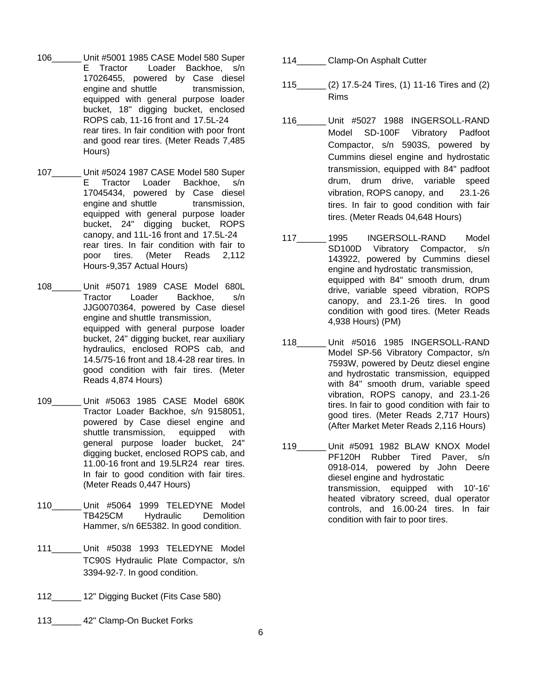- 106\_\_\_\_\_\_ Unit #5001 1985 CASE Model 580 Super E Tractor Loader Backhoe, s/n 17026455, powered by Case diesel engine and shuttle transmission, equipped with general purpose loader bucket, 18" digging bucket, enclosed ROPS cab, 11-16 front and 17.5L-24 rear tires. In fair condition with poor front and good rear tires. (Meter Reads 7,485 Hours)
- 107\_\_\_\_\_\_ Unit #5024 1987 CASE Model 580 Super E Tractor Loader Backhoe, s/n 17045434, powered by Case diesel engine and shuttle transmission, equipped with general purpose loader bucket, 24" digging bucket, ROPS canopy, and 11L-16 front and 17.5L-24 rear tires. In fair condition with fair to poor tires. (Meter Reads 2,112 Hours-9,357 Actual Hours)
- 108\_\_\_\_\_\_ Unit #5071 1989 CASE Model 680L Tractor Loader Backhoe, s/n JJG0070364, powered by Case diesel engine and shuttle transmission, equipped with general purpose loader bucket, 24" digging bucket, rear auxiliary hydraulics, enclosed ROPS cab, and 14.5/75-16 front and 18.4-28 rear tires. In good condition with fair tires. (Meter Reads 4,874 Hours)
- 109\_\_\_\_\_\_ Unit #5063 1985 CASE Model 680K Tractor Loader Backhoe, s/n 9158051, powered by Case diesel engine and shuttle transmission, equipped with general purpose loader bucket, 24" digging bucket, enclosed ROPS cab, and 11.00-16 front and 19.5LR24 rear tires. In fair to good condition with fair tires. (Meter Reads 0,447 Hours)
- 110\_\_\_\_\_\_ Unit #5064 1999 TELEDYNE Model TB425CM Hydraulic Demolition Hammer, s/n 6E5382. In good condition.
- 111\_\_\_\_\_\_ Unit #5038 1993 TELEDYNE Model TC90S Hydraulic Plate Compactor, s/n 3394-92-7. In good condition.
- 112 12" Digging Bucket (Fits Case 580)
- 113 42" Clamp-On Bucket Forks
- 114 Clamp-On Asphalt Cutter
- 115\_\_\_\_\_\_ (2) 17.5-24 Tires, (1) 11-16 Tires and (2) Rims
- 116\_\_\_\_\_\_ Unit #5027 1988 INGERSOLL-RAND Model SD-100F Vibratory Padfoot Compactor, s/n 5903S, powered by Cummins diesel engine and hydrostatic transmission, equipped with 84" padfoot drum, drum drive, variable speed vibration, ROPS canopy, and 23.1-26 tires. In fair to good condition with fair tires. (Meter Reads 04,648 Hours)
- 117\_\_\_\_\_\_ 1995 INGERSOLL-RAND Model SD100D Vibratory Compactor, s/n 143922, powered by Cummins diesel engine and hydrostatic transmission, equipped with 84" smooth drum, drum drive, variable speed vibration, ROPS canopy, and 23.1-26 tires. In good condition with good tires. (Meter Reads 4,938 Hours) (PM)
- 118\_\_\_\_\_\_ Unit #5016 1985 INGERSOLL-RAND Model SP-56 Vibratory Compactor, s/n 7593W, powered by Deutz diesel engine and hydrostatic transmission, equipped with 84" smooth drum, variable speed vibration, ROPS canopy, and 23.1-26 tires. In fair to good condition with fair to good tires. (Meter Reads 2,717 Hours) (After Market Meter Reads 2,116 Hours)
- 119\_\_\_\_\_\_ Unit #5091 1982 BLAW KNOX Model PF120H Rubber Tired Paver, s/n 0918-014, powered by John Deere diesel engine and hydrostatic transmission, equipped with 10'-16' heated vibratory screed, dual operator controls, and 16.00-24 tires. In fair condition with fair to poor tires.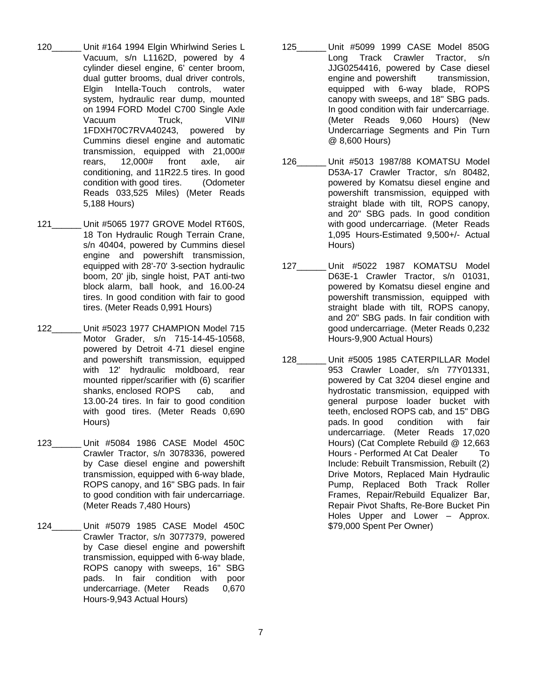- 120\_\_\_\_\_\_ Unit #164 1994 Elgin Whirlwind Series L Vacuum, s/n L1162D, powered by 4 cylinder diesel engine, 6' center broom, dual gutter brooms, dual driver controls, Elgin Intella-Touch controls, water system, hydraulic rear dump, mounted on 1994 FORD Model C700 Single Axle Vacuum Truck, VIN# 1FDXH70C7RVA40243, powered by Cummins diesel engine and automatic transmission, equipped with 21,000# rears, 12,000# front axle, air conditioning, and 11R22.5 tires. In good condition with good tires. (Odometer Reads 033,525 Miles) (Meter Reads 5,188 Hours)
- 121\_\_\_\_\_\_ Unit #5065 1977 GROVE Model RT60S, 18 Ton Hydraulic Rough Terrain Crane, s/n 40404, powered by Cummins diesel engine and powershift transmission, equipped with 28'-70' 3-section hydraulic boom, 20' jib, single hoist, PAT anti-two block alarm, ball hook, and 16.00-24 tires. In good condition with fair to good tires. (Meter Reads 0,991 Hours)
- 122\_\_\_\_\_\_ Unit #5023 1977 CHAMPION Model 715 Motor Grader, s/n 715-14-45-10568, powered by Detroit 4-71 diesel engine and powershift transmission, equipped with 12' hydraulic moldboard, rear mounted ripper/scarifier with (6) scarifier shanks, enclosed ROPS cab, and 13.00-24 tires. In fair to good condition with good tires. (Meter Reads 0,690 Hours)
- 123\_\_\_\_\_\_ Unit #5084 1986 CASE Model 450C Crawler Tractor, s/n 3078336, powered by Case diesel engine and powershift transmission, equipped with 6-way blade, ROPS canopy, and 16" SBG pads. In fair to good condition with fair undercarriage. (Meter Reads 7,480 Hours)
- 124\_\_\_\_\_\_ Unit #5079 1985 CASE Model 450C Crawler Tractor, s/n 3077379, powered by Case diesel engine and powershift transmission, equipped with 6-way blade, ROPS canopy with sweeps, 16" SBG pads. In fair condition with poor undercarriage. (Meter Reads 0,670 Hours-9,943 Actual Hours)
- 125\_\_\_\_\_\_ Unit #5099 1999 CASE Model 850G Long Track Crawler Tractor, s/n JJG0254416, powered by Case diesel engine and powershift transmission, equipped with 6-way blade, ROPS canopy with sweeps, and 18" SBG pads. In good condition with fair undercarriage. (Meter Reads 9,060 Hours) (New Undercarriage Segments and Pin Turn @ 8,600 Hours)
- 126\_\_\_\_\_\_ Unit #5013 1987/88 KOMATSU Model D53A-17 Crawler Tractor, s/n 80482, powered by Komatsu diesel engine and powershift transmission, equipped with straight blade with tilt, ROPS canopy, and 20" SBG pads. In good condition with good undercarriage. (Meter Reads 1,095 Hours-Estimated 9,500+/- Actual Hours)
- 127\_\_\_\_\_\_ Unit #5022 1987 KOMATSU Model D63E-1 Crawler Tractor, s/n 01031, powered by Komatsu diesel engine and powershift transmission, equipped with straight blade with tilt, ROPS canopy, and 20" SBG pads. In fair condition with good undercarriage. (Meter Reads 0,232 Hours-9,900 Actual Hours)
- 128\_\_\_\_\_\_ Unit #5005 1985 CATERPILLAR Model 953 Crawler Loader, s/n 77Y01331, powered by Cat 3204 diesel engine and hydrostatic transmission, equipped with general purpose loader bucket with teeth, enclosed ROPS cab, and 15" DBG pads. In good condition with fair undercarriage. (Meter Reads 17,020 Hours) (Cat Complete Rebuild @ 12,663 Hours - Performed At Cat Dealer To Include: Rebuilt Transmission, Rebuilt (2) Drive Motors, Replaced Main Hydraulic Pump, Replaced Both Track Roller Frames, Repair/Rebuild Equalizer Bar, Repair Pivot Shafts, Re-Bore Bucket Pin Holes Upper and Lower – Approx. \$79,000 Spent Per Owner)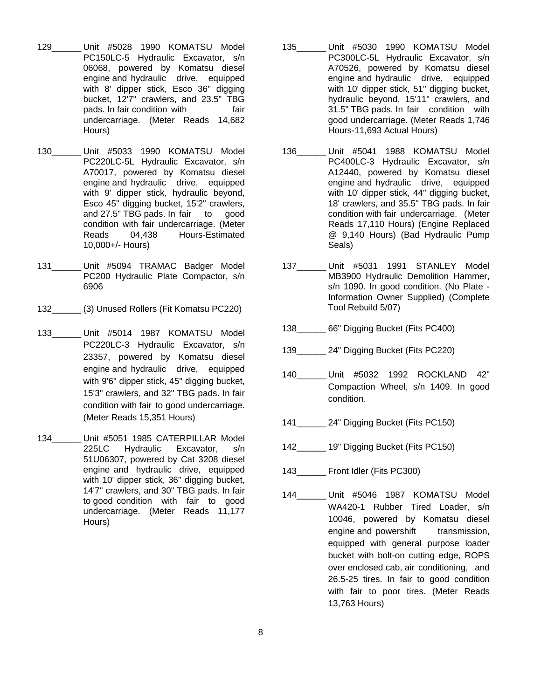- 129\_\_\_\_\_\_ Unit #5028 1990 KOMATSU Model PC150LC-5 Hydraulic Excavator, s/n 06068, powered by Komatsu diesel engine and hydraulic drive, equipped with 8' dipper stick, Esco 36" digging bucket, 12'7" crawlers, and 23.5" TBG pads. In fair condition with fair undercarriage. (Meter Reads 14,682 Hours)
- 130\_\_\_\_\_\_ Unit #5033 1990 KOMATSU Model PC220LC-5L Hydraulic Excavator, s/n A70017, powered by Komatsu diesel engine and hydraulic drive, equipped with 9' dipper stick, hydraulic beyond, Esco 45" digging bucket, 15'2" crawlers, and 27.5" TBG pads. In fair to good condition with fair undercarriage. (Meter Reads 04,438 Hours-Estimated 10,000+/- Hours)
- 131 Unit #5094 TRAMAC Badger Model PC200 Hydraulic Plate Compactor, s/n 6906
- 132\_\_\_\_\_\_ (3) Unused Rollers (Fit Komatsu PC220)
- 133\_\_\_\_\_\_ Unit #5014 1987 KOMATSU Model PC220LC-3 Hydraulic Excavator, s/n 23357, powered by Komatsu diesel engine and hydraulic drive, equipped with 9'6" dipper stick, 45" digging bucket, 15'3" crawlers, and 32" TBG pads. In fair condition with fair to good undercarriage. (Meter Reads 15,351 Hours)
- 134\_\_\_\_\_\_ Unit #5051 1985 CATERPILLAR Model 225LC Hydraulic Excavator, s/n 51U06307, powered by Cat 3208 diesel engine and hydraulic drive, equipped with 10' dipper stick, 36" digging bucket, 14'7" crawlers, and 30" TBG pads. In fair to good condition with fair to good undercarriage. (Meter Reads 11,177 Hours)
- 135\_\_\_\_\_\_ Unit #5030 1990 KOMATSU Model PC300LC-5L Hydraulic Excavator, s/n A70526, powered by Komatsu diesel engine and hydraulic drive, equipped with 10' dipper stick, 51" digging bucket, hydraulic beyond, 15'11" crawlers, and 31.5" TBG pads. In fair condition with good undercarriage. (Meter Reads 1,746 Hours-11,693 Actual Hours)
- 136\_\_\_\_\_\_ Unit #5041 1988 KOMATSU Model PC400LC-3 Hydraulic Excavator, s/n A12440, powered by Komatsu diesel engine and hydraulic drive, equipped with 10' dipper stick, 44" digging bucket, 18' crawlers, and 35.5" TBG pads. In fair condition with fair undercarriage. (Meter Reads 17,110 Hours) (Engine Replaced @ 9,140 Hours) (Bad Hydraulic Pump Seals)
- 137\_\_\_\_\_\_ Unit #5031 1991 STANLEY Model MB3900 Hydraulic Demolition Hammer, s/n 1090. In good condition. (No Plate - Information Owner Supplied) (Complete Tool Rebuild 5/07)
- 138\_\_\_\_\_\_ 66" Digging Bucket (Fits PC400)
- 139 24" Digging Bucket (Fits PC220)
- 140\_\_\_\_\_\_ Unit #5032 1992 ROCKLAND 42" Compaction Wheel, s/n 1409. In good condition.
- 141\_\_\_\_\_\_ 24" Digging Bucket (Fits PC150)
- 142\_\_\_\_\_\_ 19" Digging Bucket (Fits PC150)
- 143 Front Idler (Fits PC300)
- 144\_\_\_\_\_\_ Unit #5046 1987 KOMATSU Model WA420-1 Rubber Tired Loader, s/n 10046, powered by Komatsu diesel engine and powershift transmission. equipped with general purpose loader bucket with bolt-on cutting edge, ROPS over enclosed cab, air conditioning, and 26.5-25 tires. In fair to good condition with fair to poor tires. (Meter Reads 13,763 Hours)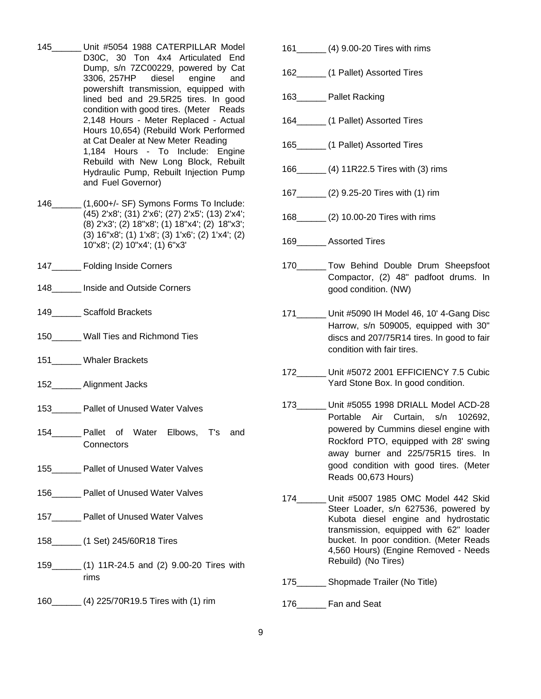- 145\_\_\_\_\_\_ Unit #5054 1988 CATERPILLAR Model D30C, 30 Ton 4x4 Articulated End Dump, s/n 7ZC00229, powered by Cat 3306, 257HP diesel engine and powershift transmission, equipped with lined bed and 29.5R25 tires. In good condition with good tires. (Meter Reads 2,148 Hours - Meter Replaced - Actual Hours 10,654) (Rebuild Work Performed at Cat Dealer at New Meter Reading 1,184 Hours - To Include: Engine Rebuild with New Long Block, Rebuilt Hydraulic Pump, Rebuilt Injection Pump and Fuel Governor)
- 146\_\_\_\_\_\_ (1,600+/- SF) Symons Forms To Include: (45) 2'x8'; (31) 2'x6'; (27) 2'x5'; (13) 2'x4'; (8) 2'x3'; (2) 18"x8'; (1) 18"x4'; (2) 18"x3'; (3) 16"x8'; (1) 1'x8'; (3) 1'x6'; (2) 1'x4'; (2) 10"x8'; (2) 10"x4'; (1) 6"x3'
- 147 Folding Inside Corners
- 148 **Inside and Outside Corners**
- 149\_\_\_\_\_\_ Scaffold Brackets
- 150\_\_\_\_\_\_ Wall Ties and Richmond Ties
- 151 Whaler Brackets
- 152\_\_\_\_\_\_ Alignment Jacks
- 153 Pallet of Unused Water Valves
- 154 Pallet of Water Elbows, T's and **Connectors**
- 155\_\_\_\_\_\_ Pallet of Unused Water Valves
- 156 Pallet of Unused Water Valves
- 157 \_\_\_\_\_\_ Pallet of Unused Water Valves
- 158\_\_\_\_\_\_ (1 Set) 245/60R18 Tires
- 159\_\_\_\_\_\_ (1) 11R-24.5 and (2) 9.00-20 Tires with rims
- 160\_\_\_\_\_\_ (4) 225/70R19.5 Tires with (1) rim
- 161\_\_\_\_\_\_ (4) 9.00-20 Tires with rims
- 162 (1 Pallet) Assorted Tires
- 163\_\_\_\_\_\_ Pallet Racking
- 164 (1 Pallet) Assorted Tires
- 165\_\_\_\_\_\_ (1 Pallet) Assorted Tires
- 166\_\_\_\_\_\_ (4) 11R22.5 Tires with (3) rims
- 167\_\_\_\_\_\_ (2) 9.25-20 Tires with (1) rim
- 168\_\_\_\_\_\_ (2) 10.00-20 Tires with rims
- 169 Assorted Tires
- 170\_\_\_\_\_\_ Tow Behind Double Drum Sheepsfoot Compactor, (2) 48" padfoot drums. In good condition. (NW)
- 171\_\_\_\_\_\_ Unit #5090 IH Model 46, 10' 4-Gang Disc Harrow, s/n 509005, equipped with 30" discs and 207/75R14 tires. In good to fair condition with fair tires.
- 172\_\_\_\_\_\_ Unit #5072 2001 EFFICIENCY 7.5 Cubic Yard Stone Box. In good condition.
- 173\_\_\_\_\_\_ Unit #5055 1998 DRIALL Model ACD-28 Portable Air Curtain, s/n 102692, powered by Cummins diesel engine with Rockford PTO, equipped with 28' swing away burner and 225/75R15 tires. In good condition with good tires. (Meter Reads 00,673 Hours)
- 174 \_\_\_\_\_ Unit #5007 1985 OMC Model 442 Skid Steer Loader, s/n 627536, powered by Kubota diesel engine and hydrostatic transmission, equipped with 62" loader bucket. In poor condition. (Meter Reads 4,560 Hours) (Engine Removed - Needs Rebuild) (No Tires)
- 175\_\_\_\_\_\_ Shopmade Trailer (No Title)
- 176 Fan and Seat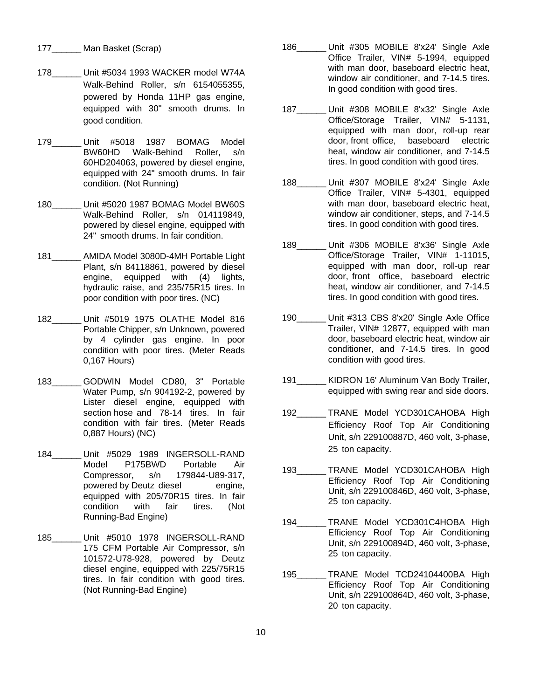- 177\_\_\_\_\_\_ Man Basket (Scrap)
- 178\_\_\_\_\_\_ Unit #5034 1993 WACKER model W74A Walk-Behind Roller, s/n 6154055355, powered by Honda 11HP gas engine, equipped with 30" smooth drums. In good condition.
- 179\_\_\_\_\_\_ Unit #5018 1987 BOMAG Model BW60HD Walk-Behind Roller, s/n 60HD204063, powered by diesel engine, equipped with 24" smooth drums. In fair condition. (Not Running)
- 180\_\_\_\_\_\_ Unit #5020 1987 BOMAG Model BW60S Walk-Behind Roller, s/n 014119849, powered by diesel engine, equipped with 24" smooth drums. In fair condition.
- 181\_\_\_\_\_\_ AMIDA Model 3080D-4MH Portable Light Plant, s/n 84118861, powered by diesel engine, equipped with (4) lights, hydraulic raise, and 235/75R15 tires. In poor condition with poor tires. (NC)
- 182\_\_\_\_\_\_ Unit #5019 1975 OLATHE Model 816 Portable Chipper, s/n Unknown, powered by 4 cylinder gas engine. In poor condition with poor tires. (Meter Reads 0,167 Hours)
- 183\_\_\_\_\_\_ GODWIN Model CD80, 3" Portable Water Pump, s/n 904192-2, powered by Lister diesel engine, equipped with section hose and 78-14 tires. In fair condition with fair tires. (Meter Reads 0,887 Hours) (NC)
- 184\_\_\_\_\_\_ Unit #5029 1989 INGERSOLL-RAND Model P175BWD Portable Air Compressor, s/n 179844-U89-317, powered by Deutz diesel engine, equipped with 205/70R15 tires. In fair condition with fair tires. (Not Running-Bad Engine)
- 185\_\_\_\_\_\_ Unit #5010 1978 INGERSOLL-RAND 175 CFM Portable Air Compressor, s/n 101572-U78-928, powered by Deutz diesel engine, equipped with 225/75R15 tires. In fair condition with good tires. (Not Running-Bad Engine)
- 186\_\_\_\_\_\_ Unit #305 MOBILE 8'x24' Single Axle Office Trailer, VIN# 5-1994, equipped with man door, baseboard electric heat, window air conditioner, and 7-14.5 tires. In good condition with good tires.
- 187\_\_\_\_\_\_ Unit #308 MOBILE 8'x32' Single Axle Office/Storage Trailer, VIN# 5-1131, equipped with man door, roll-up rear door, front office, baseboard electric heat, window air conditioner, and 7-14.5 tires. In good condition with good tires.
- 188 Unit #307 MOBILE 8'x24' Single Axle Office Trailer, VIN# 5-4301, equipped with man door, baseboard electric heat, window air conditioner, steps, and 7-14.5 tires. In good condition with good tires.
- 189 Unit #306 MOBILE 8'x36' Single Axle Office/Storage Trailer, VIN# 1-11015, equipped with man door, roll-up rear door, front office, baseboard electric heat, window air conditioner, and 7-14.5 tires. In good condition with good tires.
- 190 Unit #313 CBS 8'x20' Single Axle Office Trailer, VIN# 12877, equipped with man door, baseboard electric heat, window air conditioner, and 7-14.5 tires. In good condition with good tires.
- 191 KIDRON 16' Aluminum Van Body Trailer, equipped with swing rear and side doors.
- 192\_\_\_\_\_\_ TRANE Model YCD301CAHOBA High Efficiency Roof Top Air Conditioning Unit, s/n 229100887D, 460 volt, 3-phase, 25 ton capacity.
- 193 TRANE Model YCD301CAHOBA High Efficiency Roof Top Air Conditioning Unit, s/n 229100846D, 460 volt, 3-phase, 25 ton capacity.
- 194\_\_\_\_\_\_ TRANE Model YCD301C4HOBA High Efficiency Roof Top Air Conditioning Unit, s/n 229100894D, 460 volt, 3-phase, 25 ton capacity.
- 195 TRANE Model TCD24104400BA High Efficiency Roof Top Air Conditioning Unit, s/n 229100864D, 460 volt, 3-phase, 20 ton capacity.